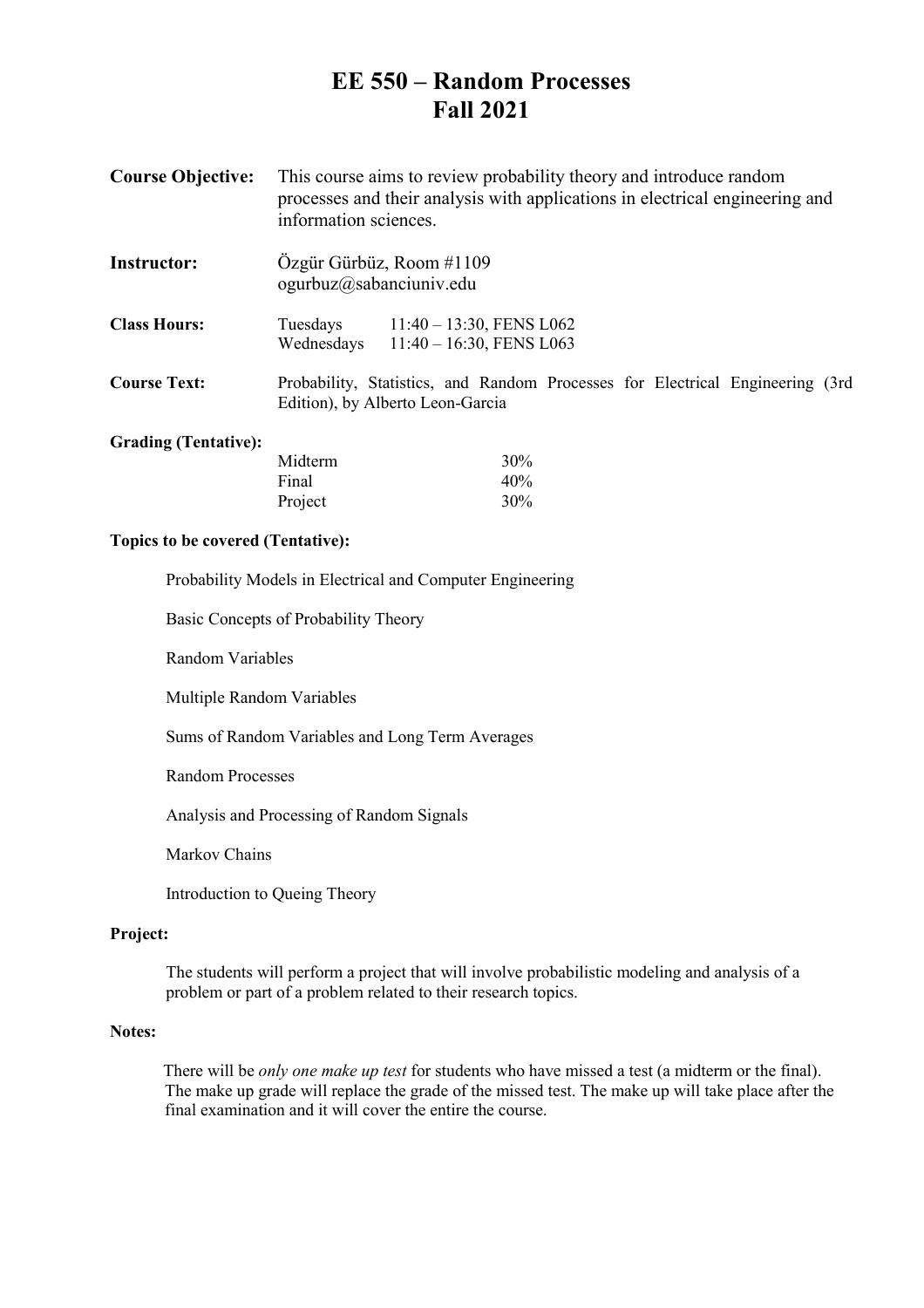# **EE 550 – Random Processes Fall 2021**

- **Course Objective:** This course aims to review probability theory and introduce random processes and their analysis with applications in electrical engineering and information sciences.
- **Instructor:** Özgür Gürbüz, Room #1109 ogurbuz@sabanciuniv.edu

| <b>Class Hours:</b> | Tuesdays   | $11:40 - 13:30$ , FENS L062 |
|---------------------|------------|-----------------------------|
|                     | Wednesdays | $11:40 - 16:30$ , FENS L063 |

**Course Text:** Probability, Statistics, and Random Processes for Electrical Engineering (3rd Edition), by Alberto Leon-Garcia

## **Grading (Tentative):**

| Midterm | 30% |
|---------|-----|
| Final   | 40% |
| Project | 30% |

## **Topics to be covered (Tentative):**

Probability Models in Electrical and Computer Engineering

Basic Concepts of Probability Theory

Random Variables

Multiple Random Variables

Sums of Random Variables and Long Term Averages

Random Processes

Analysis and Processing of Random Signals

Markov Chains

Introduction to Queing Theory

### **Project:**

 The students will perform a project that will involve probabilistic modeling and analysis of a problem or part of a problem related to their research topics.

### **Notes:**

There will be *only one make up test* for students who have missed a test (a midterm or the final). The make up grade will replace the grade of the missed test. The make up will take place after the final examination and it will cover the entire the course.